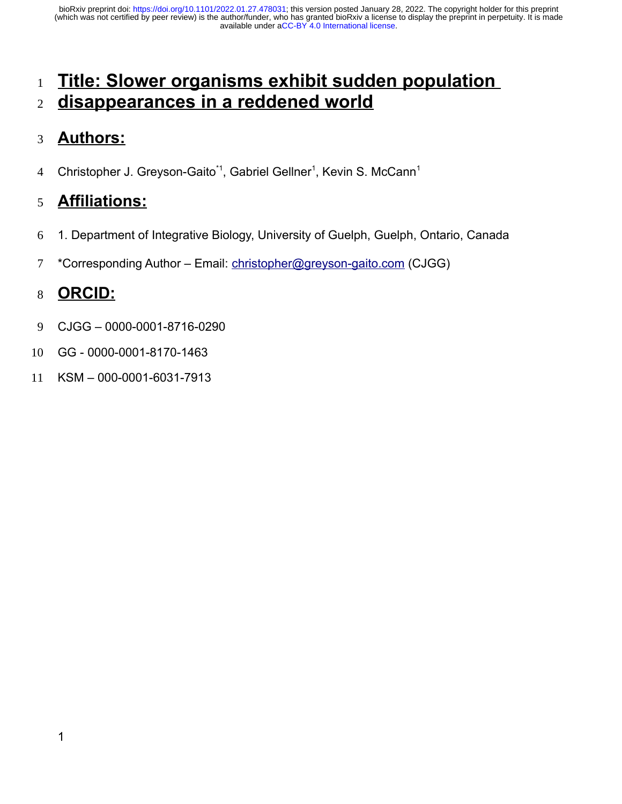# **Title: Slower organisms exhibit sudden population disappearances in a reddened world** 1 2

#### **Authors:** 3

Christopher J. Greyson-Gaito<sup>\*1</sup>, Gabriel Gellner<sup>1</sup>, Kevin S. McCann<sup>1</sup> 4

#### **Affiliations:** 5

- 1. Department of Integrative Biology, University of Guelph, Guelph, Ontario, Canada 6
- \*Corresponding Author Email: [christopher@greyson-gaito.com](mailto:christopher@greyson-gaito.com) (CJGG) 7

# **ORCID:** 8

- CJGG 0000-0001-8716-0290 9
- GG 0000-0001-8170-1463 10
- KSM 000-0001-6031-7913 11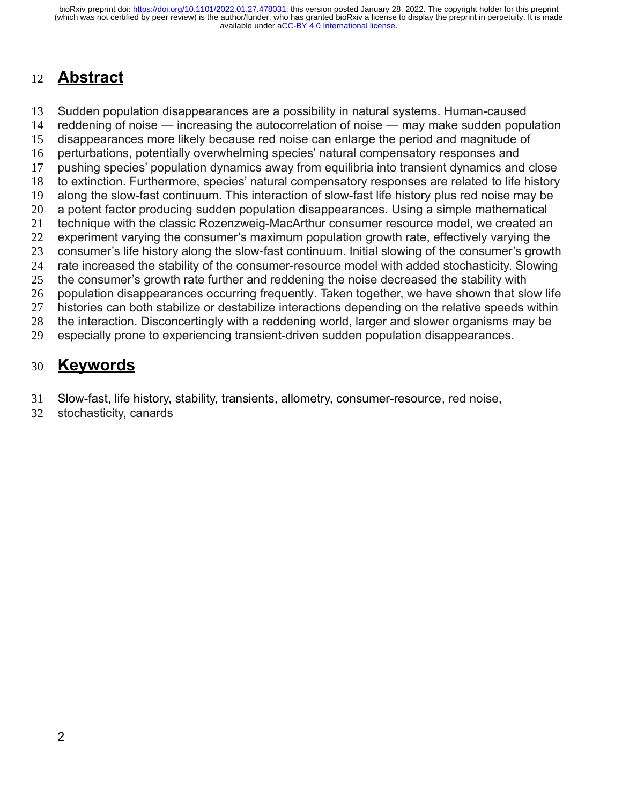# **Abstract** 12

Sudden population disappearances are a possibility in natural systems. Human-caused reddening of noise — increasing the autocorrelation of noise — may make sudden population disappearances more likely because red noise can enlarge the period and magnitude of perturbations, potentially overwhelming species' natural compensatory responses and pushing species' population dynamics away from equilibria into transient dynamics and close to extinction. Furthermore, species' natural compensatory responses are related to life history along the slow-fast continuum. This interaction of slow-fast life history plus red noise may be a potent factor producing sudden population disappearances. Using a simple mathematical technique with the classic Rozenzweig-MacArthur consumer resource model, we created an experiment varying the consumer's maximum population growth rate, effectively varying the consumer's life history along the slow-fast continuum. Initial slowing of the consumer's growth rate increased the stability of the consumer-resource model with added stochasticity. Slowing the consumer's growth rate further and reddening the noise decreased the stability with population disappearances occurring frequently. Taken together, we have shown that slow life histories can both stabilize or destabilize interactions depending on the relative speeds within the interaction. Disconcertingly with a reddening world, larger and slower organisms may be especially prone to experiencing transient-driven sudden population disappearances. 13 14 15 16 17 18 19 20 21 22 23 24 25 26 27 28 29

# **Keywords** 30

- Slow-fast, life history, stability, transients, allometry, consumer-resource, red noise, 31
- stochasticity, canards 32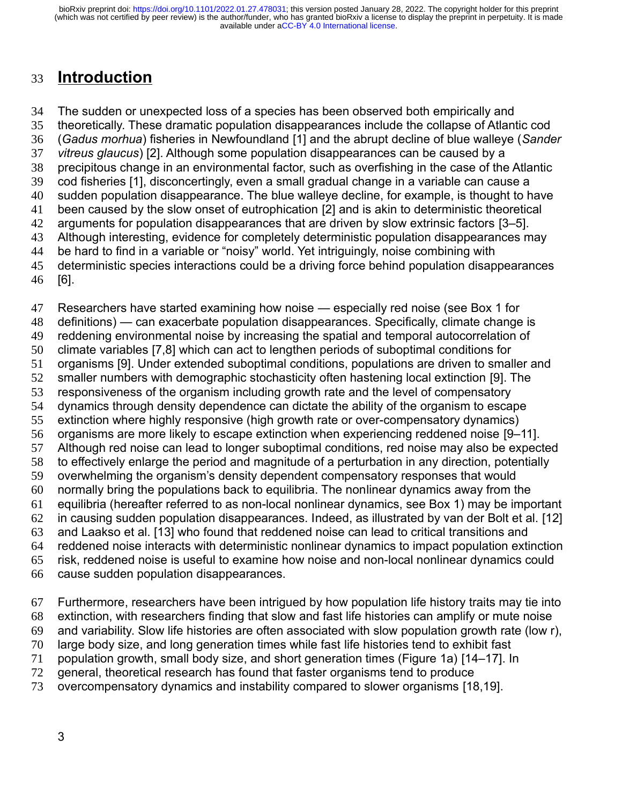#### **Introduction** 33

The sudden or unexpected loss of a species has been observed both empirically and theoretically. These dramatic population disappearances include the collapse of Atlantic cod (*Gadus morhua*) fisheries in Newfoundland [1] and the abrupt decline of blue walleye (*Sander vitreus glaucus*) [2]. Although some population disappearances can be caused by a precipitous change in an environmental factor, such as overfishing in the case of the Atlantic cod fisheries [1], disconcertingly, even a small gradual change in a variable can cause a sudden population disappearance. The blue walleye decline, for example, is thought to have been caused by the slow onset of eutrophication [2] and is akin to deterministic theoretical arguments for population disappearances that are driven by slow extrinsic factors [3–5]. Although interesting, evidence for completely deterministic population disappearances may be hard to find in a variable or "noisy" world. Yet intriguingly, noise combining with deterministic species interactions could be a driving force behind population disappearances [6]. 34 35 36 37 38 39 40 41 42 43 44 45 46

Researchers have started examining how noise — especially red noise (see Box 1 for definitions) — can exacerbate population disappearances. Specifically, climate change is reddening environmental noise by increasing the spatial and temporal autocorrelation of climate variables [7,8] which can act to lengthen periods of suboptimal conditions for organisms [9]. Under extended suboptimal conditions, populations are driven to smaller and smaller numbers with demographic stochasticity often hastening local extinction [9]. The responsiveness of the organism including growth rate and the level of compensatory dynamics through density dependence can dictate the ability of the organism to escape extinction where highly responsive (high growth rate or over-compensatory dynamics) organisms are more likely to escape extinction when experiencing reddened noise [9–11]. Although red noise can lead to longer suboptimal conditions, red noise may also be expected to effectively enlarge the period and magnitude of a perturbation in any direction, potentially overwhelming the organism's density dependent compensatory responses that would normally bring the populations back to equilibria. The nonlinear dynamics away from the equilibria (hereafter referred to as non-local nonlinear dynamics, see Box 1) may be important in causing sudden population disappearances. Indeed, as illustrated by van der Bolt et al. [12] and Laakso et al. [13] who found that reddened noise can lead to critical transitions and reddened noise interacts with deterministic nonlinear dynamics to impact population extinction risk, reddened noise is useful to examine how noise and non-local nonlinear dynamics could cause sudden population disappearances. 47 48 49 50 51 52 53 54 55 56 57 58 59 60 61 62 63 64 65 66

Furthermore, researchers have been intrigued by how population life history traits may tie into extinction, with researchers finding that slow and fast life histories can amplify or mute noise and variability. Slow life histories are often associated with slow population growth rate (low r), large body size, and long generation times while fast life histories tend to exhibit fast population growth, small body size, and short generation times (Figure 1a) [14–17]. In general, theoretical research has found that faster organisms tend to produce overcompensatory dynamics and instability compared to slower organisms [18,19]. 67 68 69 70 71 72 73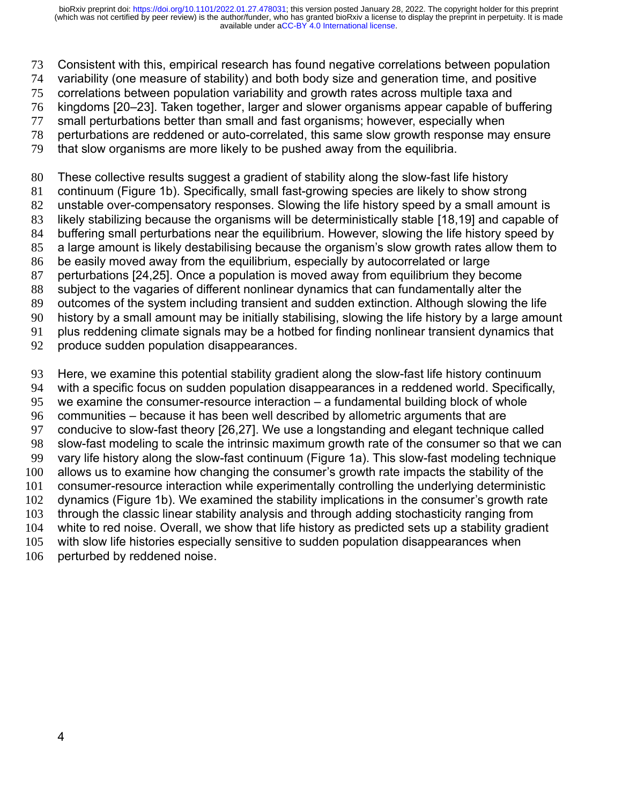Consistent with this, empirical research has found negative correlations between population 73

- variability (one measure of stability) and both body size and generation time, and positive 74
- correlations between population variability and growth rates across multiple taxa and 75
- kingdoms [20–23]. Taken together, larger and slower organisms appear capable of buffering 76
- small perturbations better than small and fast organisms; however, especially when 77
- perturbations are reddened or auto-correlated, this same slow growth response may ensure 78
- that slow organisms are more likely to be pushed away from the equilibria. 79

These collective results suggest a gradient of stability along the slow-fast life history 80

- continuum (Figure 1b). Specifically, small fast-growing species are likely to show strong 81
- unstable over-compensatory responses. Slowing the life history speed by a small amount is 82
- likely stabilizing because the organisms will be deterministically stable [18,19] and capable of buffering small perturbations near the equilibrium. However, slowing the life history speed by 83 84
- a large amount is likely destabilising because the organism's slow growth rates allow them to 85
- be easily moved away from the equilibrium, especially by autocorrelated or large 86
- perturbations [24,25]. Once a population is moved away from equilibrium they become 87
- subject to the vagaries of different nonlinear dynamics that can fundamentally alter the 88
- outcomes of the system including transient and sudden extinction. Although slowing the life 89
- history by a small amount may be initially stabilising, slowing the life history by a large amount 90
- plus reddening climate signals may be a hotbed for finding nonlinear transient dynamics that 91
- produce sudden population disappearances. 92

Here, we examine this potential stability gradient along the slow-fast life history continuum with a specific focus on sudden population disappearances in a reddened world. Specifically, we examine the consumer-resource interaction – a fundamental building block of whole communities – because it has been well described by allometric arguments that are conducive to slow-fast theory [26,27]. We use a longstanding and elegant technique called slow-fast modeling to scale the intrinsic maximum growth rate of the consumer so that we can vary life history along the slow-fast continuum (Figure 1a). This slow-fast modeling technique allows us to examine how changing the consumer's growth rate impacts the stability of the consumer-resource interaction while experimentally controlling the underlying deterministic dynamics (Figure 1b). We examined the stability implications in the consumer's growth rate through the classic linear stability analysis and through adding stochasticity ranging from white to red noise. Overall, we show that life history as predicted sets up a stability gradient with slow life histories especially sensitive to sudden population disappearances when perturbed by reddened noise. 93 94 95 96 97 98 99 100 101 102 103 104 105 106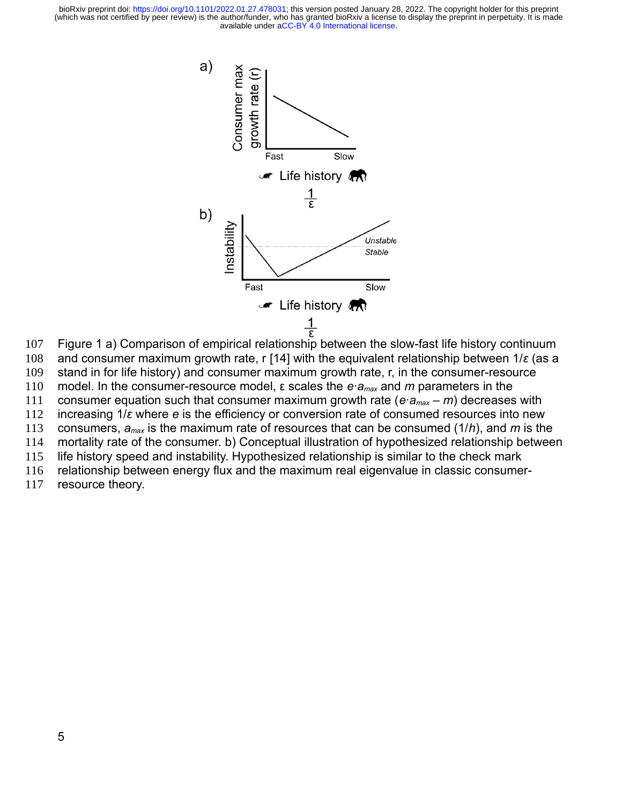

and consumer maximum growth rate, r [14] with the equivalent relationship between 1/*ε* (as a stand in for life history) and consumer maximum growth rate, r, in the consumer-resource model. In the consumer-resource model, ε scales the *e*·*amax* and *m* parameters in the consumer equation such that consumer maximum growth rate (*e*·*amax* – *m*) decreases with increasing 1/*ε* where *e* is the efficiency or conversion rate of consumed resources into new consumers, *amax* is the maximum rate of resources that can be consumed (1/*h*), and *m* is the mortality rate of the consumer. b) Conceptual illustration of hypothesized relationship between life history speed and instability. Hypothesized relationship is similar to the check mark 107 108 109 110 111 112 113 114 115

relationship between energy flux and the maximum real eigenvalue in classic consumer-116

resource theory. 117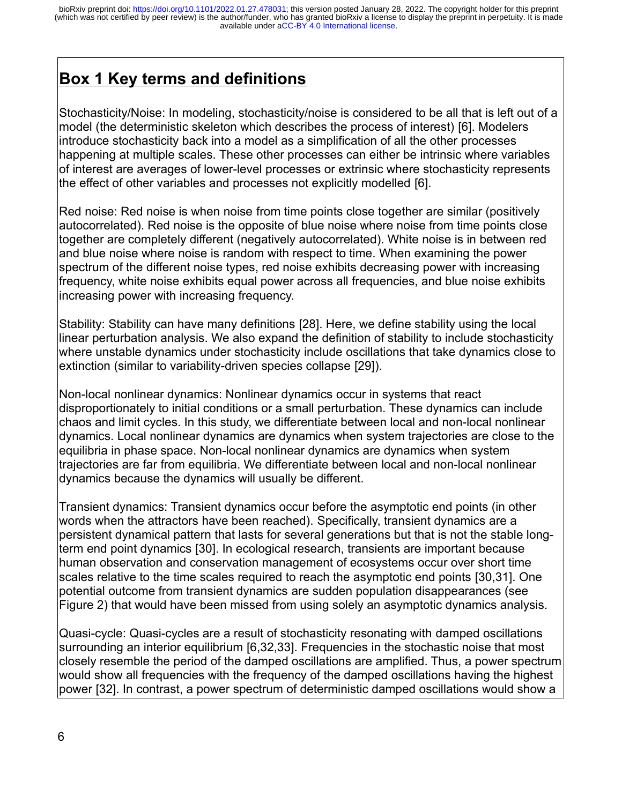# **Box 1 Key terms and definitions**

Stochasticity/Noise: In modeling, stochasticity/noise is considered to be all that is left out of a model (the deterministic skeleton which describes the process of interest) [6]. Modelers introduce stochasticity back into a model as a simplification of all the other processes happening at multiple scales. These other processes can either be intrinsic where variables of interest are averages of lower-level processes or extrinsic where stochasticity represents the effect of other variables and processes not explicitly modelled [6].

Red noise: Red noise is when noise from time points close together are similar (positively autocorrelated). Red noise is the opposite of blue noise where noise from time points close together are completely different (negatively autocorrelated). White noise is in between red and blue noise where noise is random with respect to time. When examining the power spectrum of the different noise types, red noise exhibits decreasing power with increasing frequency, white noise exhibits equal power across all frequencies, and blue noise exhibits increasing power with increasing frequency.

Stability: Stability can have many definitions [28]. Here, we define stability using the local linear perturbation analysis. We also expand the definition of stability to include stochasticity where unstable dynamics under stochasticity include oscillations that take dynamics close to extinction (similar to variability-driven species collapse [29]).

Non-local nonlinear dynamics: Nonlinear dynamics occur in systems that react disproportionately to initial conditions or a small perturbation. These dynamics can include chaos and limit cycles. In this study, we differentiate between local and non-local nonlinear dynamics. Local nonlinear dynamics are dynamics when system trajectories are close to the equilibria in phase space. Non-local nonlinear dynamics are dynamics when system trajectories are far from equilibria. We differentiate between local and non-local nonlinear dynamics because the dynamics will usually be different.

Transient dynamics: Transient dynamics occur before the asymptotic end points (in other words when the attractors have been reached). Specifically, transient dynamics are a persistent dynamical pattern that lasts for several generations but that is not the stable longterm end point dynamics [30]. In ecological research, transients are important because human observation and conservation management of ecosystems occur over short time scales relative to the time scales required to reach the asymptotic end points [30,31]. One potential outcome from transient dynamics are sudden population disappearances (see Figure 2) that would have been missed from using solely an asymptotic dynamics analysis.

Quasi-cycle: Quasi-cycles are a result of stochasticity resonating with damped oscillations surrounding an interior equilibrium [6,32,33]. Frequencies in the stochastic noise that most closely resemble the period of the damped oscillations are amplified. Thus, a power spectrum would show all frequencies with the frequency of the damped oscillations having the highest power [32]. In contrast, a power spectrum of deterministic damped oscillations would show a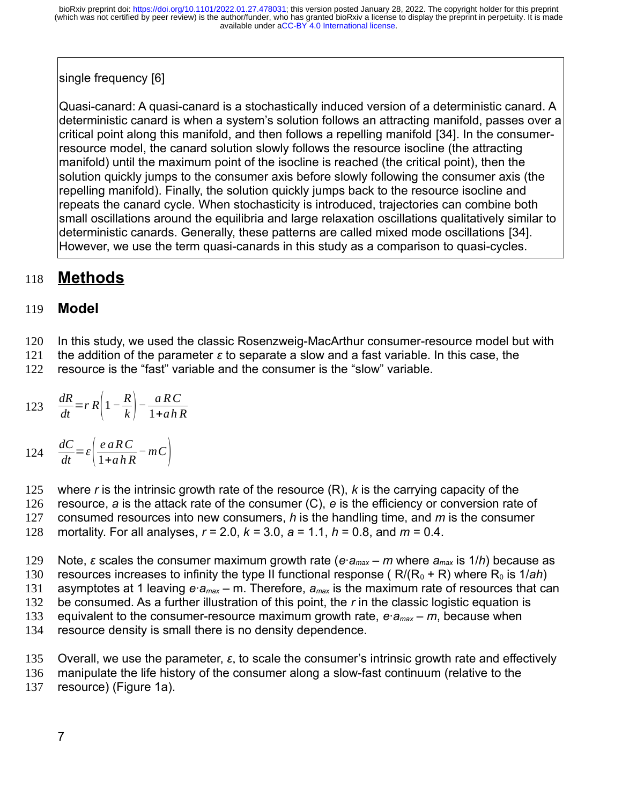# single frequency [6]

Quasi-canard: A quasi-canard is a stochastically induced version of a deterministic canard. A deterministic canard is when a system's solution follows an attracting manifold, passes over a critical point along this manifold, and then follows a repelling manifold [34]. In the consumerresource model, the canard solution slowly follows the resource isocline (the attracting manifold) until the maximum point of the isocline is reached (the critical point), then the solution quickly jumps to the consumer axis before slowly following the consumer axis (the repelling manifold). Finally, the solution quickly jumps back to the resource isocline and repeats the canard cycle. When stochasticity is introduced, trajectories can combine both small oscillations around the equilibria and large relaxation oscillations qualitatively similar to deterministic canards. Generally, these patterns are called mixed mode oscillations [34]. However, we use the term quasi-canards in this study as a comparison to quasi-cycles.

#### **Methods** 118

#### **Model** 119

In this study, we used the classic Rosenzweig-MacArthur consumer-resource model but with 120

the addition of the parameter *ε* to separate a slow and a fast variable. In this case, the 121

resource is the "fast" variable and the consumer is the "slow" variable. 122

123 
$$
\frac{dR}{dt} = rR\left(1 - \frac{R}{k}\right) - \frac{aRC}{1 + ahR}
$$

 $\frac{dC}{dt}$ =*ε*( $\frac{e \cdot aRC}{1 + a \cdot h}$  $124 \frac{dC}{dt} = \varepsilon \left( \frac{e dR}{1 + a h R} - mC \right)$ 

where *r* is the intrinsic growth rate of the resource (R), *k* is the carrying capacity of the resource, *a* is the attack rate of the consumer (C), *e* is the efficiency or conversion rate of consumed resources into new consumers, *h* is the handling time, and *m* is the consumer mortality. For all analyses, *r =* 2.0, *k =* 3.0, *a* = 1.1, *h* = 0.8, and *m* = 0.4. 125 126 127 128

Note, *ε* scales the consumer maximum growth rate (*e·amax – m* where *amax* is 1/*h*) because as resources increases to infinity the type II functional response ( $R/(R_0 + R)$  where  $R_0$  is  $1/ah$ ) asymptotes at 1 leaving *e·amax* – m. Therefore, *amax* is the maximum rate of resources that can be consumed. As a further illustration of this point, the *r* in the classic logistic equation is equivalent to the consumer-resource maximum growth rate, *e·amax – m*, because when resource density is small there is no density dependence. 129 130 131 132 133 134

Overall, we use the parameter, *ε*, to scale the consumer's intrinsic growth rate and effectively manipulate the life history of the consumer along a slow-fast continuum (relative to the resource) (Figure 1a). 135 136 137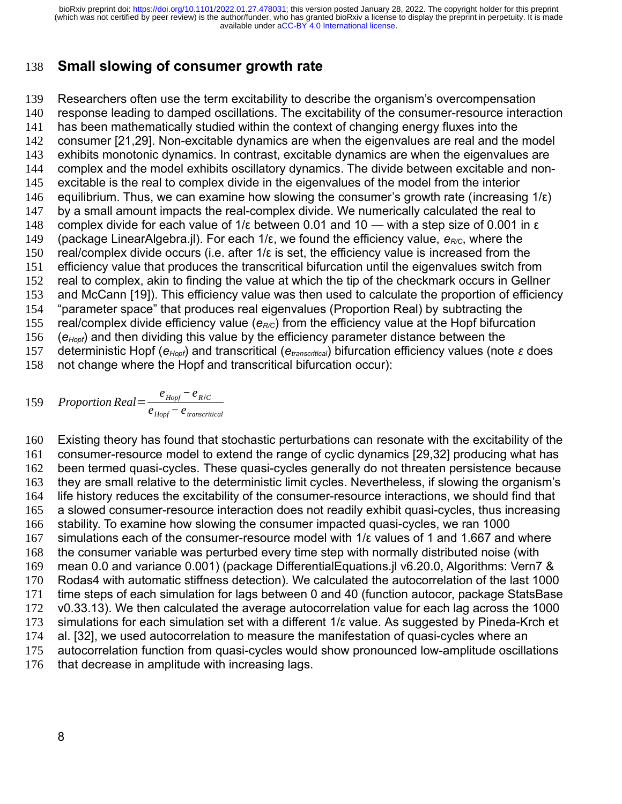#### **Small slowing of consumer growth rate** 138

Researchers often use the term excitability to describe the organism's overcompensation response leading to damped oscillations. The excitability of the consumer-resource interaction has been mathematically studied within the context of changing energy fluxes into the consumer [21,29]. Non-excitable dynamics are when the eigenvalues are real and the model exhibits monotonic dynamics. In contrast, excitable dynamics are when the eigenvalues are complex and the model exhibits oscillatory dynamics. The divide between excitable and nonexcitable is the real to complex divide in the eigenvalues of the model from the interior equilibrium. Thus, we can examine how slowing the consumer's growth rate (increasing  $1/\epsilon$ ) by a small amount impacts the real-complex divide. We numerically calculated the real to complex divide for each value of 1/ε between 0.01 and 10 — with a step size of 0.001 in ε (package LinearAlgebra.jl). For each 1/ε, we found the efficiency value, *eR/C*, where the real/complex divide occurs (i.e. after 1/ε is set, the efficiency value is increased from the efficiency value that produces the transcritical bifurcation until the eigenvalues switch from real to complex, akin to finding the value at which the tip of the checkmark occurs in Gellner and McCann [19]). This efficiency value was then used to calculate the proportion of efficiency "parameter space" that produces real eigenvalues (Proportion Real) by subtracting the real/complex divide efficiency value ( $e_{R,C}$ ) from the efficiency value at the Hopf bifurcation (*eHopf*) and then dividing this value by the efficiency parameter distance between the deterministic Hopf (*eHopf*) and transcritical (*etranscritical*) bifurcation efficiency values (note *ε* does not change where the Hopf and transcritical bifurcation occur): 139 140 141 142 143 144 145 146 147 148 149 150 151 152 153 154 155 156 157 158

159 Proportion Real = 
$$
\frac{e_{Hopf} - e_{R/C}}{e_{Hopf} - e_{transcritical}}
$$

Existing theory has found that stochastic perturbations can resonate with the excitability of the consumer-resource model to extend the range of cyclic dynamics [29,32] producing what has been termed quasi-cycles. These quasi-cycles generally do not threaten persistence because they are small relative to the deterministic limit cycles. Nevertheless, if slowing the organism's life history reduces the excitability of the consumer-resource interactions, we should find that a slowed consumer-resource interaction does not readily exhibit quasi-cycles, thus increasing stability. To examine how slowing the consumer impacted quasi-cycles, we ran 1000 simulations each of the consumer-resource model with  $1/\epsilon$  values of 1 and 1.667 and where the consumer variable was perturbed every time step with normally distributed noise (with mean 0.0 and variance 0.001) (package DifferentialEquations.jl v6.20.0, Algorithms: Vern7 & Rodas4 with automatic stiffness detection). We calculated the autocorrelation of the last 1000 time steps of each simulation for lags between 0 and 40 (function autocor, package StatsBase v0.33.13). We then calculated the average autocorrelation value for each lag across the 1000 simulations for each simulation set with a different 1/ε value. As suggested by Pineda-Krch et al. [32], we used autocorrelation to measure the manifestation of quasi-cycles where an autocorrelation function from quasi-cycles would show pronounced low-amplitude oscillations that decrease in amplitude with increasing lags. 160 161 162 163 164 165 166 167 168 169 170 171 172 173 174 175 176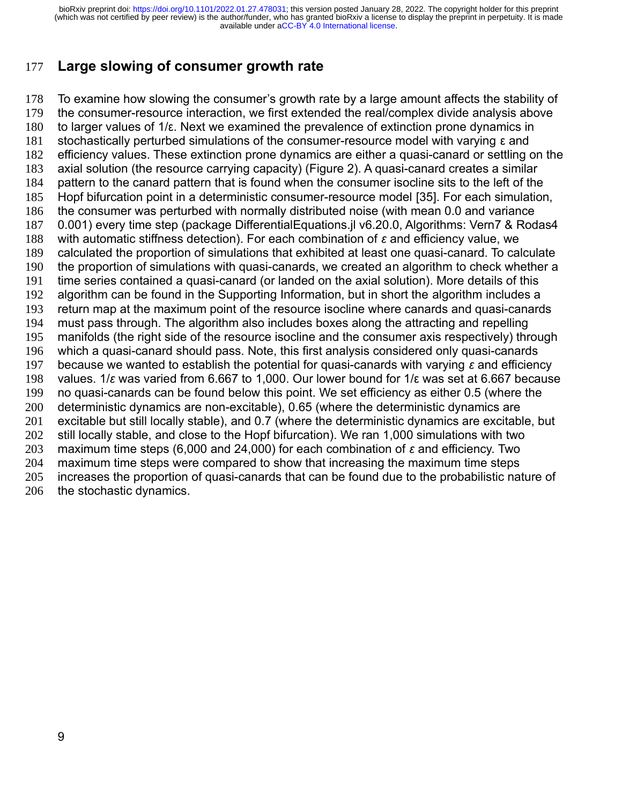#### **Large slowing of consumer growth rate** 177

To examine how slowing the consumer's growth rate by a large amount affects the stability of the consumer-resource interaction, we first extended the real/complex divide analysis above to larger values of 1/ε. Next we examined the prevalence of extinction prone dynamics in stochastically perturbed simulations of the consumer-resource model with varying ε and efficiency values. These extinction prone dynamics are either a quasi-canard or settling on the axial solution (the resource carrying capacity) (Figure 2). A quasi-canard creates a similar pattern to the canard pattern that is found when the consumer isocline sits to the left of the Hopf bifurcation point in a deterministic consumer-resource model [35]. For each simulation, the consumer was perturbed with normally distributed noise (with mean 0.0 and variance 0.001) every time step (package DifferentialEquations.jl v6.20.0, Algorithms: Vern7 & Rodas4 with automatic stiffness detection). For each combination of *ε* and efficiency value, we calculated the proportion of simulations that exhibited at least one quasi-canard. To calculate the proportion of simulations with quasi-canards, we created an algorithm to check whether a time series contained a quasi-canard (or landed on the axial solution). More details of this algorithm can be found in the Supporting Information, but in short the algorithm includes a return map at the maximum point of the resource isocline where canards and quasi-canards must pass through. The algorithm also includes boxes along the attracting and repelling manifolds (the right side of the resource isocline and the consumer axis respectively) through which a quasi-canard should pass. Note, this first analysis considered only quasi-canards because we wanted to establish the potential for quasi-canards with varying *ε* and efficiency values. 1/*ε* was varied from 6.667 to 1,000. Our lower bound for 1/ε was set at 6.667 because no quasi-canards can be found below this point. We set efficiency as either 0.5 (where the deterministic dynamics are non-excitable), 0.65 (where the deterministic dynamics are excitable but still locally stable), and 0.7 (where the deterministic dynamics are excitable, but still locally stable, and close to the Hopf bifurcation). We ran 1,000 simulations with two maximum time steps (6,000 and 24,000) for each combination of *ε* and efficiency. Two maximum time steps were compared to show that increasing the maximum time steps increases the proportion of quasi-canards that can be found due to the probabilistic nature of the stochastic dynamics. 178 179 180 181 182 183 184 185 186 187 188 189 190 191 192 193 194 195 196 197 198 199 200 201 202 203 204 205 206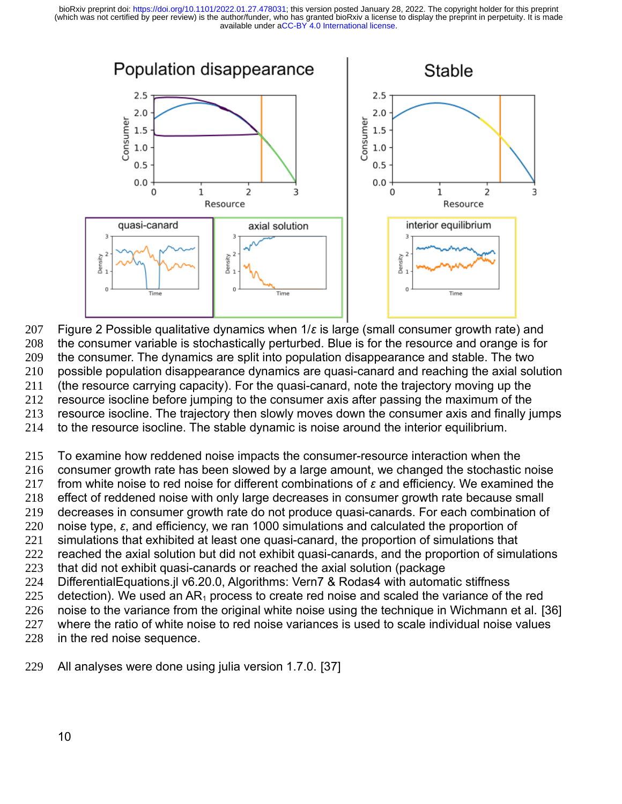

Figure 2 Possible qualitative dynamics when 1/*ε* is large (small consumer growth rate) and the consumer variable is stochastically perturbed. Blue is for the resource and orange is for the consumer. The dynamics are split into population disappearance and stable. The two possible population disappearance dynamics are quasi-canard and reaching the axial solution (the resource carrying capacity). For the quasi-canard, note the trajectory moving up the resource isocline before jumping to the consumer axis after passing the maximum of the resource isocline. The trajectory then slowly moves down the consumer axis and finally jumps 207 208 209 210 211 212 213

to the resource isocline. The stable dynamic is noise around the interior equilibrium. 214

To examine how reddened noise impacts the consumer-resource interaction when the consumer growth rate has been slowed by a large amount, we changed the stochastic noise from white noise to red noise for different combinations of *ε* and efficiency. We examined the effect of reddened noise with only large decreases in consumer growth rate because small decreases in consumer growth rate do not produce quasi-canards. For each combination of noise type, *ε*, and efficiency, we ran 1000 simulations and calculated the proportion of simulations that exhibited at least one quasi-canard, the proportion of simulations that reached the axial solution but did not exhibit quasi-canards, and the proportion of simulations that did not exhibit quasi-canards or reached the axial solution (package DifferentialEquations.jl v6.20.0, Algorithms: Vern7 & Rodas4 with automatic stiffness detection). We used an  $AR_1$  process to create red noise and scaled the variance of the red noise to the variance from the original white noise using the technique in Wichmann et al. [36] where the ratio of white noise to red noise variances is used to scale individual noise values in the red noise sequence. 215 216 217 218 219 220 221 222 223 224 225 226 227 228

All analyses were done using julia version 1.7.0. [37] 229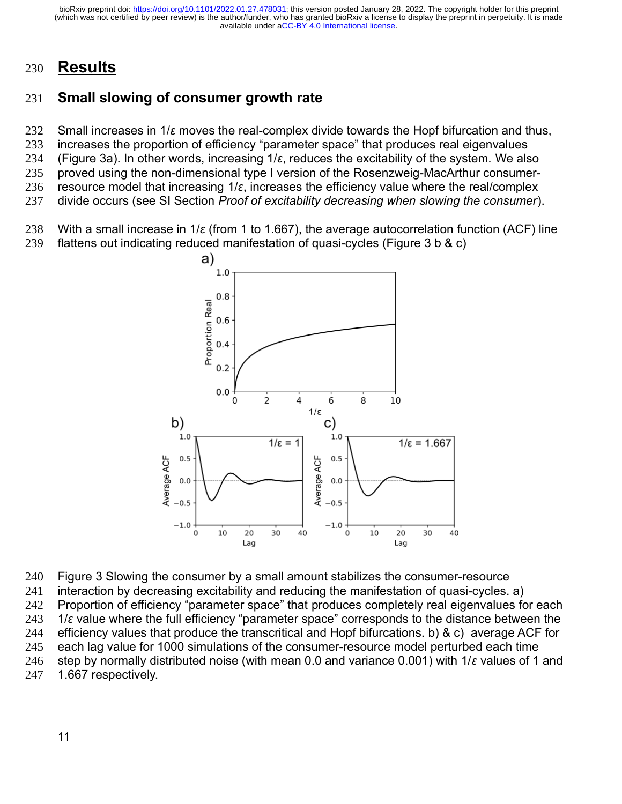# **Results** 230

#### **Small slowing of consumer growth rate** 231

Small increases in 1/*ε* moves the real-complex divide towards the Hopf bifurcation and thus, increases the proportion of efficiency "parameter space" that produces real eigenvalues (Figure 3a). In other words, increasing 1/*ε*, reduces the excitability of the system. We also proved using the non-dimensional type I version of the Rosenzweig-MacArthur consumerresource model that increasing 1/*ε*, increases the efficiency value where the real/complex divide occurs (see SI Section *Proof of excitability decreasing when slowing the consumer*). 232 233 234 235 236 237

With a small increase in 1/*ε* (from 1 to 1.667), the average autocorrelation function (ACF) line flattens out indicating reduced manifestation of quasi-cycles (Figure 3 b & c) 238 239



Figure 3 Slowing the consumer by a small amount stabilizes the consumer-resource interaction by decreasing excitability and reducing the manifestation of quasi-cycles. a) Proportion of efficiency "parameter space" that produces completely real eigenvalues for each 1/*ε* value where the full efficiency "parameter space" corresponds to the distance between the efficiency values that produce the transcritical and Hopf bifurcations. b) & c) average ACF for each lag value for 1000 simulations of the consumer-resource model perturbed each time step by normally distributed noise (with mean 0.0 and variance 0.001) with 1/*ε* values of 1 and 1.667 respectively. 240 241 242 243 244 245 246 247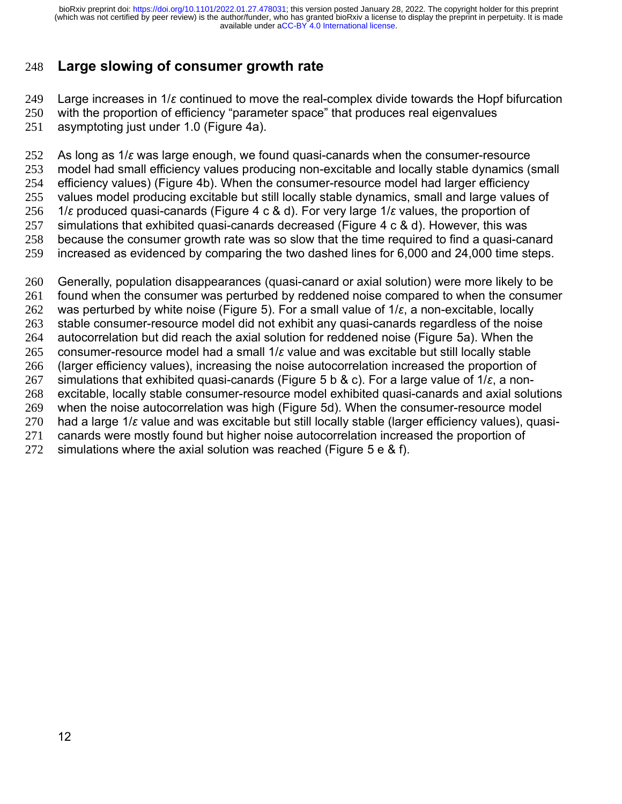#### **Large slowing of consumer growth rate** 248

Large increases in 1/*ε* continued to move the real-complex divide towards the Hopf bifurcation 249

with the proportion of efficiency "parameter space" that produces real eigenvalues 250

asymptoting just under 1.0 (Figure 4a). 251

As long as 1/*ε* was large enough, we found quasi-canards when the consumer-resource model had small efficiency values producing non-excitable and locally stable dynamics (small efficiency values) (Figure 4b). When the consumer-resource model had larger efficiency values model producing excitable but still locally stable dynamics, small and large values of 1/*ε* produced quasi-canards (Figure 4 c & d). For very large 1/*ε* values, the proportion of simulations that exhibited quasi-canards decreased (Figure 4 c & d). However, this was because the consumer growth rate was so slow that the time required to find a quasi-canard increased as evidenced by comparing the two dashed lines for 6,000 and 24,000 time steps. 252 253 254 255 256 257 258 259

Generally, population disappearances (quasi-canard or axial solution) were more likely to be found when the consumer was perturbed by reddened noise compared to when the consumer was perturbed by white noise (Figure 5). For a small value of 1/*ε*, a non-excitable, locally stable consumer-resource model did not exhibit any quasi-canards regardless of the noise autocorrelation but did reach the axial solution for reddened noise (Figure 5a). When the consumer-resource model had a small 1/*ε* value and was excitable but still locally stable (larger efficiency values), increasing the noise autocorrelation increased the proportion of simulations that exhibited quasi-canards (Figure 5 b & c). For a large value of 1/*ε*, a nonexcitable, locally stable consumer-resource model exhibited quasi-canards and axial solutions when the noise autocorrelation was high (Figure 5d). When the consumer-resource model had a large 1/*ε* value and was excitable but still locally stable (larger efficiency values), quasicanards were mostly found but higher noise autocorrelation increased the proportion of simulations where the axial solution was reached (Figure 5 e & f). 260 261 262 263 264 265 266 267 268 269 270 271 272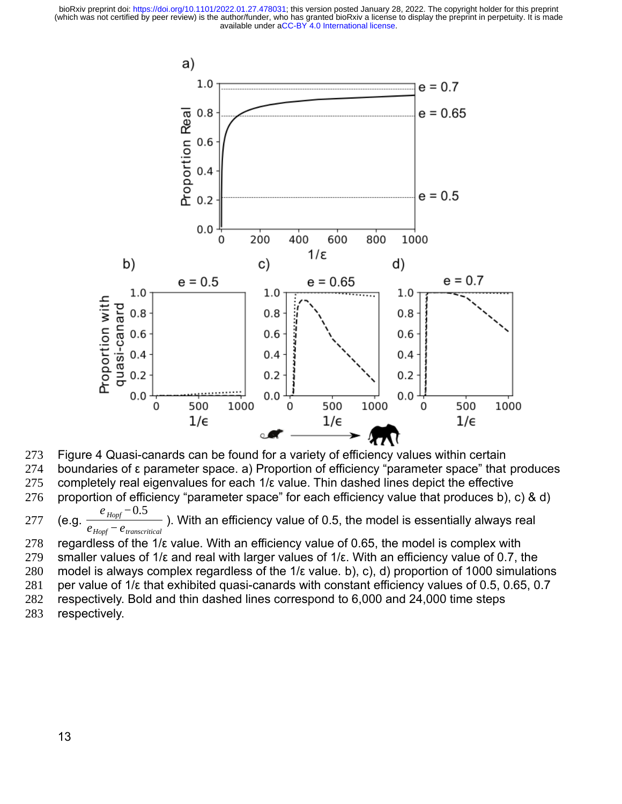

Figure 4 Quasi-canards can be found for a variety of efficiency values within certain 273

boundaries of ε parameter space. a) Proportion of efficiency "parameter space" that produces 274

completely real eigenvalues for each 1/ε value. Thin dashed lines depict the effective 275

proportion of efficiency "parameter space" for each efficiency value that produces b), c) & d) 276

(e.g.  $e<sub>Hopf</sub>$ <sup>−0.5</sup> ). With an efficiency value of 0.5, the model is essentially always real *eHopf −etranscritical* 277

regardless of the  $1/\varepsilon$  value. With an efficiency value of 0.65, the model is complex with smaller values of 1/ε and real with larger values of 1/ε. With an efficiency value of 0.7, the model is always complex regardless of the 1/ε value. b), c), d) proportion of 1000 simulations per value of 1/ε that exhibited quasi-canards with constant efficiency values of 0.5, 0.65, 0.7 respectively. Bold and thin dashed lines correspond to 6,000 and 24,000 time steps respectively. 278 279 280 281 282 283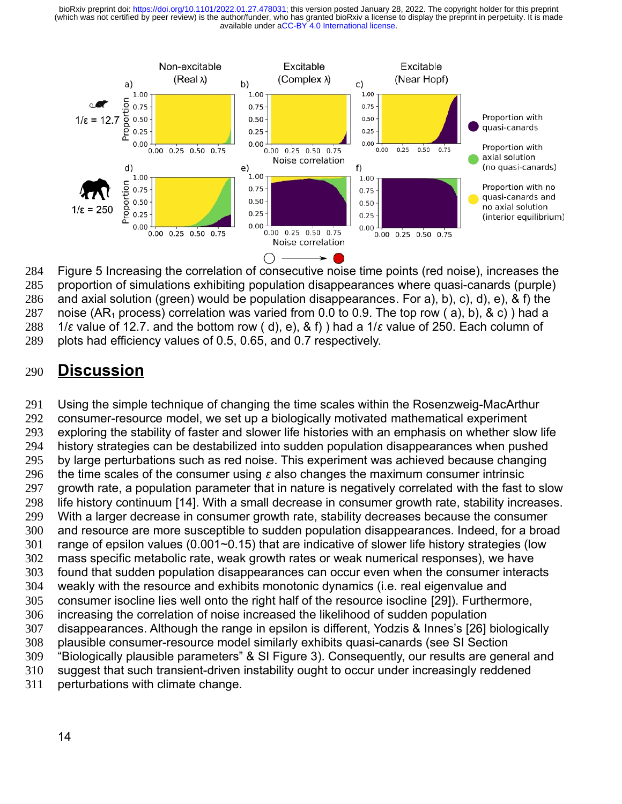

Figure 5 Increasing the correlation of consecutive noise time points (red noise), increases the proportion of simulations exhibiting population disappearances where quasi-canards (purple) and axial solution (green) would be population disappearances. For a), b), c), d), e), & f) the noise (AR<sub>1</sub> process) correlation was varied from 0.0 to 0.9. The top row (a), b), & c) ) had a 1/*ε* value of 12.7. and the bottom row ( d), e), & f) ) had a 1/*ε* value of 250. Each column of plots had efficiency values of 0.5, 0.65, and 0.7 respectively. 284 285 286 287 288 289

#### **Discussion** 290

Using the simple technique of changing the time scales within the Rosenzweig-MacArthur consumer-resource model, we set up a biologically motivated mathematical experiment exploring the stability of faster and slower life histories with an emphasis on whether slow life history strategies can be destabilized into sudden population disappearances when pushed by large perturbations such as red noise. This experiment was achieved because changing the time scales of the consumer using *ε* also changes the maximum consumer intrinsic growth rate, a population parameter that in nature is negatively correlated with the fast to slow life history continuum [14]. With a small decrease in consumer growth rate, stability increases. With a larger decrease in consumer growth rate, stability decreases because the consumer and resource are more susceptible to sudden population disappearances. Indeed, for a broad range of epsilon values (0.001~0.15) that are indicative of slower life history strategies (low mass specific metabolic rate, weak growth rates or weak numerical responses), we have found that sudden population disappearances can occur even when the consumer interacts weakly with the resource and exhibits monotonic dynamics (i.e. real eigenvalue and consumer isocline lies well onto the right half of the resource isocline [29]). Furthermore, increasing the correlation of noise increased the likelihood of sudden population disappearances. Although the range in epsilon is different, Yodzis & Innes's [26] biologically plausible consumer-resource model similarly exhibits quasi-canards (see SI Section "Biologically plausible parameters" & SI Figure 3). Consequently, our results are general and suggest that such transient-driven instability ought to occur under increasingly reddened perturbations with climate change. 291 292 293 294 295 296 297 298 299 300 301 302 303 304 305 306 307 308 309 310 311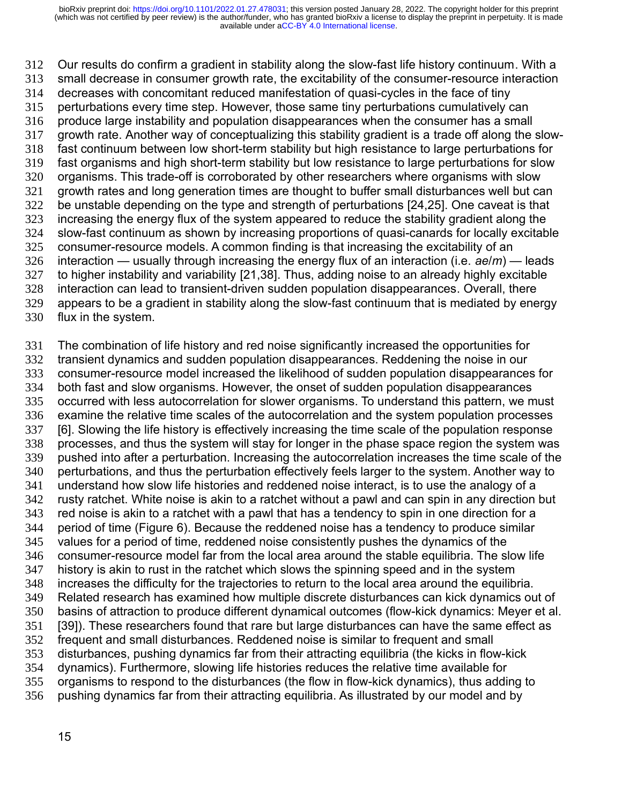Our results do confirm a gradient in stability along the slow-fast life history continuum. With a small decrease in consumer growth rate, the excitability of the consumer-resource interaction decreases with concomitant reduced manifestation of quasi-cycles in the face of tiny perturbations every time step. However, those same tiny perturbations cumulatively can produce large instability and population disappearances when the consumer has a small growth rate. Another way of conceptualizing this stability gradient is a trade off along the slowfast continuum between low short-term stability but high resistance to large perturbations for fast organisms and high short-term stability but low resistance to large perturbations for slow organisms. This trade-off is corroborated by other researchers where organisms with slow growth rates and long generation times are thought to buffer small disturbances well but can be unstable depending on the type and strength of perturbations [24,25]. One caveat is that increasing the energy flux of the system appeared to reduce the stability gradient along the slow-fast continuum as shown by increasing proportions of quasi-canards for locally excitable consumer-resource models. A common finding is that increasing the excitability of an interaction — usually through increasing the energy flux of an interaction (i.e. *ae*/*m*) — leads to higher instability and variability [21,38]. Thus, adding noise to an already highly excitable interaction can lead to transient-driven sudden population disappearances. Overall, there appears to be a gradient in stability along the slow-fast continuum that is mediated by energy flux in the system. 312 313 314 315 316 317 318 319 320 321 322 323 324 325 326 327 328 329 330

The combination of life history and red noise significantly increased the opportunities for transient dynamics and sudden population disappearances. Reddening the noise in our consumer-resource model increased the likelihood of sudden population disappearances for both fast and slow organisms. However, the onset of sudden population disappearances occurred with less autocorrelation for slower organisms. To understand this pattern, we must examine the relative time scales of the autocorrelation and the system population processes [6]. Slowing the life history is effectively increasing the time scale of the population response processes, and thus the system will stay for longer in the phase space region the system was pushed into after a perturbation. Increasing the autocorrelation increases the time scale of the perturbations, and thus the perturbation effectively feels larger to the system. Another way to understand how slow life histories and reddened noise interact, is to use the analogy of a rusty ratchet. White noise is akin to a ratchet without a pawl and can spin in any direction but red noise is akin to a ratchet with a pawl that has a tendency to spin in one direction for a period of time (Figure 6). Because the reddened noise has a tendency to produce similar values for a period of time, reddened noise consistently pushes the dynamics of the consumer-resource model far from the local area around the stable equilibria. The slow life history is akin to rust in the ratchet which slows the spinning speed and in the system increases the difficulty for the trajectories to return to the local area around the equilibria. Related research has examined how multiple discrete disturbances can kick dynamics out of basins of attraction to produce different dynamical outcomes (flow-kick dynamics: Meyer et al. [39]). These researchers found that rare but large disturbances can have the same effect as frequent and small disturbances. Reddened noise is similar to frequent and small disturbances, pushing dynamics far from their attracting equilibria (the kicks in flow-kick dynamics). Furthermore, slowing life histories reduces the relative time available for organisms to respond to the disturbances (the flow in flow-kick dynamics), thus adding to pushing dynamics far from their attracting equilibria. As illustrated by our model and by 331 332 333 334 335 336 337 338 339 340 341 342 343 344 345 346 347 348 349 350 351 352 353 354 355 356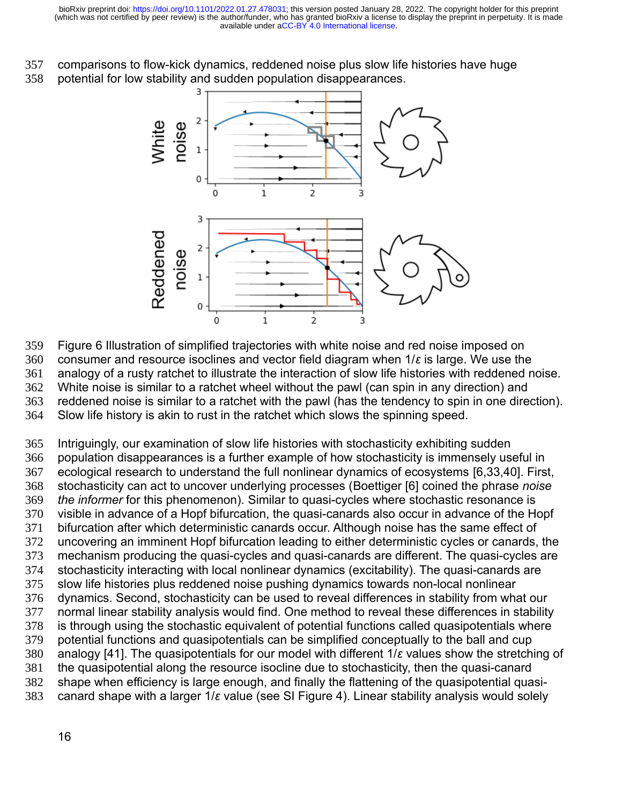comparisons to flow-kick dynamics, reddened noise plus slow life histories have huge potential for low stability and sudden population disappearances. 357 358



Figure 6 Illustration of simplified trajectories with white noise and red noise imposed on consumer and resource isoclines and vector field diagram when 1/*ε* is large. We use the analogy of a rusty ratchet to illustrate the interaction of slow life histories with reddened noise. White noise is similar to a ratchet wheel without the pawl (can spin in any direction) and reddened noise is similar to a ratchet with the pawl (has the tendency to spin in one direction). Slow life history is akin to rust in the ratchet which slows the spinning speed. 359 360 361 362 363 364

Intriguingly, our examination of slow life histories with stochasticity exhibiting sudden population disappearances is a further example of how stochasticity is immensely useful in ecological research to understand the full nonlinear dynamics of ecosystems [6,33,40]. First, stochasticity can act to uncover underlying processes (Boettiger [6] coined the phrase *noise the informer* for this phenomenon). Similar to quasi-cycles where stochastic resonance is visible in advance of a Hopf bifurcation, the quasi-canards also occur in advance of the Hopf bifurcation after which deterministic canards occur. Although noise has the same effect of uncovering an imminent Hopf bifurcation leading to either deterministic cycles or canards, the mechanism producing the quasi-cycles and quasi-canards are different. The quasi-cycles are stochasticity interacting with local nonlinear dynamics (excitability). The quasi-canards are slow life histories plus reddened noise pushing dynamics towards non-local nonlinear dynamics. Second, stochasticity can be used to reveal differences in stability from what our normal linear stability analysis would find. One method to reveal these differences in stability is through using the stochastic equivalent of potential functions called quasipotentials where potential functions and quasipotentials can be simplified conceptually to the ball and cup analogy [41]. The quasipotentials for our model with different 1/*ε* values show the stretching of the quasipotential along the resource isocline due to stochasticity, then the quasi-canard shape when efficiency is large enough, and finally the flattening of the quasipotential quasicanard shape with a larger 1/*ε* value (see SI Figure 4). Linear stability analysis would solely 365 366 367 368 369 370 371 372 373 374 375 376 377 378 379 380 381 382 383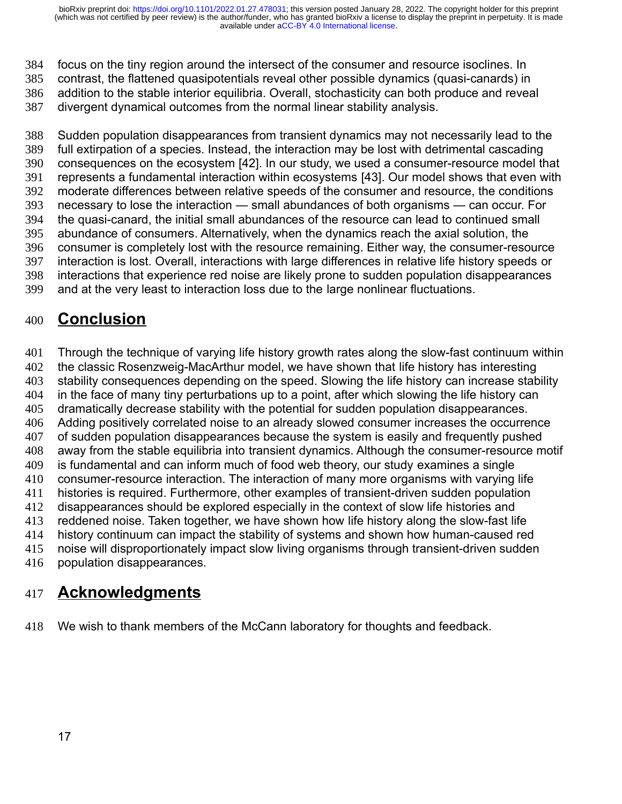focus on the tiny region around the intersect of the consumer and resource isoclines. In contrast, the flattened quasipotentials reveal other possible dynamics (quasi-canards) in addition to the stable interior equilibria. Overall, stochasticity can both produce and reveal divergent dynamical outcomes from the normal linear stability analysis. 384 385 386 387

Sudden population disappearances from transient dynamics may not necessarily lead to the full extirpation of a species. Instead, the interaction may be lost with detrimental cascading consequences on the ecosystem [42]. In our study, we used a consumer-resource model that represents a fundamental interaction within ecosystems [43]. Our model shows that even with moderate differences between relative speeds of the consumer and resource, the conditions necessary to lose the interaction — small abundances of both organisms — can occur. For the quasi-canard, the initial small abundances of the resource can lead to continued small abundance of consumers. Alternatively, when the dynamics reach the axial solution, the consumer is completely lost with the resource remaining. Either way, the consumer-resource interaction is lost. Overall, interactions with large differences in relative life history speeds or interactions that experience red noise are likely prone to sudden population disappearances and at the very least to interaction loss due to the large nonlinear fluctuations. 388 389 390 391 392 393 394 395 396 397 398 399

# **Conclusion** 400

Through the technique of varying life history growth rates along the slow-fast continuum within the classic Rosenzweig-MacArthur model, we have shown that life history has interesting stability consequences depending on the speed. Slowing the life history can increase stability in the face of many tiny perturbations up to a point, after which slowing the life history can dramatically decrease stability with the potential for sudden population disappearances. Adding positively correlated noise to an already slowed consumer increases the occurrence of sudden population disappearances because the system is easily and frequently pushed away from the stable equilibria into transient dynamics. Although the consumer-resource motif is fundamental and can inform much of food web theory, our study examines a single consumer-resource interaction. The interaction of many more organisms with varying life histories is required. Furthermore, other examples of transient-driven sudden population disappearances should be explored especially in the context of slow life histories and reddened noise. Taken together, we have shown how life history along the slow-fast life history continuum can impact the stability of systems and shown how human-caused red noise will disproportionately impact slow living organisms through transient-driven sudden population disappearances. 401 402 403 404 405 406 407 408 409 410 411 412 413 414 415 416

# **Acknowledgments** 417

We wish to thank members of the McCann laboratory for thoughts and feedback. 418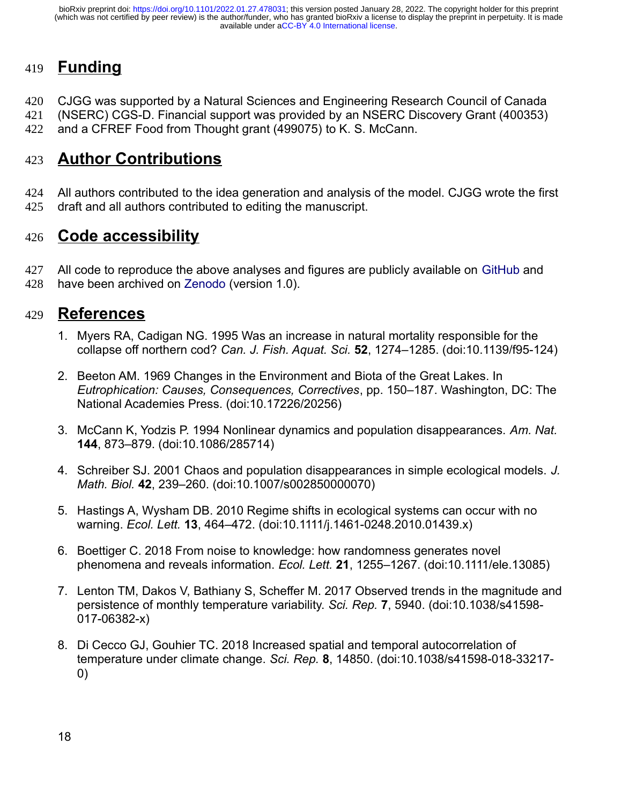# **Funding** 419

CJGG was supported by a Natural Sciences and Engineering Research Council of Canada 420

(NSERC) CGS-D. Financial support was provided by an NSERC Discovery Grant (400353) 421

and a CFREF Food from Thought grant (499075) to K. S. McCann. 422

# **Author Contributions** 423

All authors contributed to the idea generation and analysis of the model. CJGG wrote the first draft and all authors contributed to editing the manuscript. 424 425

# **Code accessibility** 426

All code to reproduce the above analyses and figures are publicly available on [GitHub](https://github.com/cgreysongaito/SlowFast_SuddenPopulationDisappearances) and have been archived on [Zenodo](https://doi.org/10.5281/zenodo.5796524) (version 1.0). 427 428

# **References** 429

- 1. Myers RA, Cadigan NG. 1995 Was an increase in natural mortality responsible for the collapse off northern cod? *Can. J. Fish. Aquat. Sci.* **52**, 1274–1285. (doi:10.1139/f95-124)
- 2. Beeton AM. 1969 Changes in the Environment and Biota of the Great Lakes. In *Eutrophication: Causes, Consequences, Correctives*, pp. 150–187. Washington, DC: The National Academies Press. (doi:10.17226/20256)
- 3. McCann K, Yodzis P. 1994 Nonlinear dynamics and population disappearances. *Am. Nat.* **144**, 873–879. (doi:10.1086/285714)
- 4. Schreiber SJ. 2001 Chaos and population disappearances in simple ecological models. *J. Math. Biol.* **42**, 239–260. (doi:10.1007/s002850000070)
- 5. Hastings A, Wysham DB. 2010 Regime shifts in ecological systems can occur with no warning. *Ecol. Lett.* **13**, 464–472. (doi:10.1111/j.1461-0248.2010.01439.x)
- 6. Boettiger C. 2018 From noise to knowledge: how randomness generates novel phenomena and reveals information. *Ecol. Lett.* **21**, 1255–1267. (doi:10.1111/ele.13085)
- 7. Lenton TM, Dakos V, Bathiany S, Scheffer M. 2017 Observed trends in the magnitude and persistence of monthly temperature variability. *Sci. Rep.* **7**, 5940. (doi:10.1038/s41598- 017-06382-x)
- 8. Di Cecco GJ, Gouhier TC. 2018 Increased spatial and temporal autocorrelation of temperature under climate change. *Sci. Rep.* **8**, 14850. (doi:10.1038/s41598-018-33217- 0)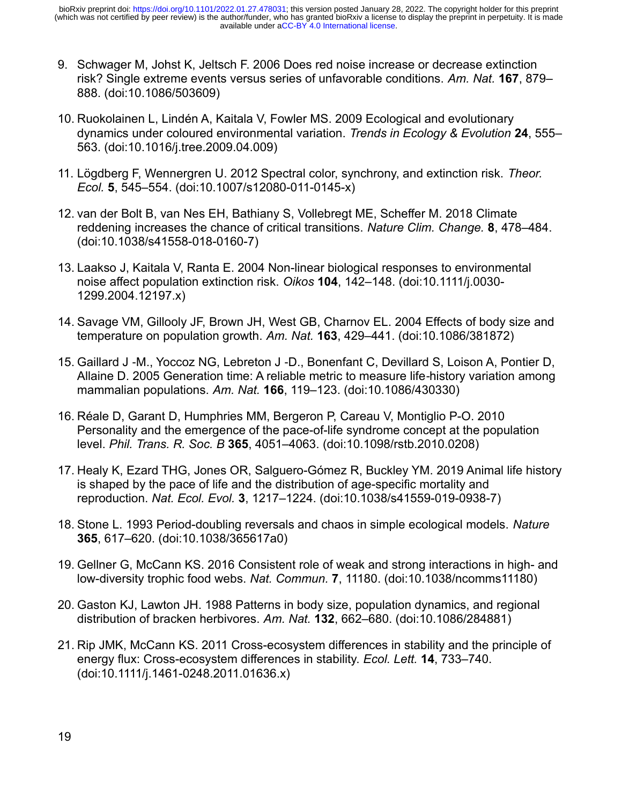- 9. Schwager M, Johst K, Jeltsch F. 2006 Does red noise increase or decrease extinction risk? Single extreme events versus series of unfavorable conditions. *Am. Nat.* **167**, 879– 888. (doi:10.1086/503609)
- 10. Ruokolainen L, Lindén A, Kaitala V, Fowler MS. 2009 Ecological and evolutionary dynamics under coloured environmental variation. *Trends in Ecology & Evolution* **24**, 555– 563. (doi:10.1016/j.tree.2009.04.009)
- 11. Lögdberg F, Wennergren U. 2012 Spectral color, synchrony, and extinction risk. *Theor. Ecol.* **5**, 545–554. (doi:10.1007/s12080-011-0145-x)
- 12. van der Bolt B, van Nes EH, Bathiany S, Vollebregt ME, Scheffer M. 2018 Climate reddening increases the chance of critical transitions. *Nature Clim. Change.* **8**, 478–484. (doi:10.1038/s41558-018-0160-7)
- 13. Laakso J, Kaitala V, Ranta E. 2004 Non-linear biological responses to environmental noise affect population extinction risk. *Oikos* **104**, 142–148. (doi:10.1111/j.0030- 1299.2004.12197.x)
- 14. Savage VM, Gillooly JF, Brown JH, West GB, Charnov EL. 2004 Effects of body size and temperature on population growth. *Am. Nat.* **163**, 429–441. (doi:10.1086/381872)
- 15. Gaillard J -M., Yoccoz NG, Lebreton J -D., Bonenfant C, Devillard S, Loison A, Pontier D, Allaine D. 2005 Generation time: A reliable metric to measure life history variation among ‐ mammalian populations. *Am. Nat.* **166**, 119–123. (doi:10.1086/430330)
- 16. Réale D, Garant D, Humphries MM, Bergeron P, Careau V, Montiglio P-O. 2010 Personality and the emergence of the pace-of-life syndrome concept at the population level. *Phil. Trans. R. Soc. B* **365**, 4051–4063. (doi:10.1098/rstb.2010.0208)
- 17. Healy K, Ezard THG, Jones OR, Salguero-Gómez R, Buckley YM. 2019 Animal life history is shaped by the pace of life and the distribution of age-specific mortality and reproduction. *Nat. Ecol. Evol.* **3**, 1217–1224. (doi:10.1038/s41559-019-0938-7)
- 18. Stone L. 1993 Period-doubling reversals and chaos in simple ecological models. *Nature* **365**, 617–620. (doi:10.1038/365617a0)
- 19. Gellner G, McCann KS. 2016 Consistent role of weak and strong interactions in high- and low-diversity trophic food webs. *Nat. Commun.* **7**, 11180. (doi:10.1038/ncomms11180)
- 20. Gaston KJ, Lawton JH. 1988 Patterns in body size, population dynamics, and regional distribution of bracken herbivores. *Am. Nat.* **132**, 662–680. (doi:10.1086/284881)
- 21. Rip JMK, McCann KS. 2011 Cross-ecosystem differences in stability and the principle of energy flux: Cross-ecosystem differences in stability. *Ecol. Lett.* **14**, 733–740. (doi:10.1111/j.1461-0248.2011.01636.x)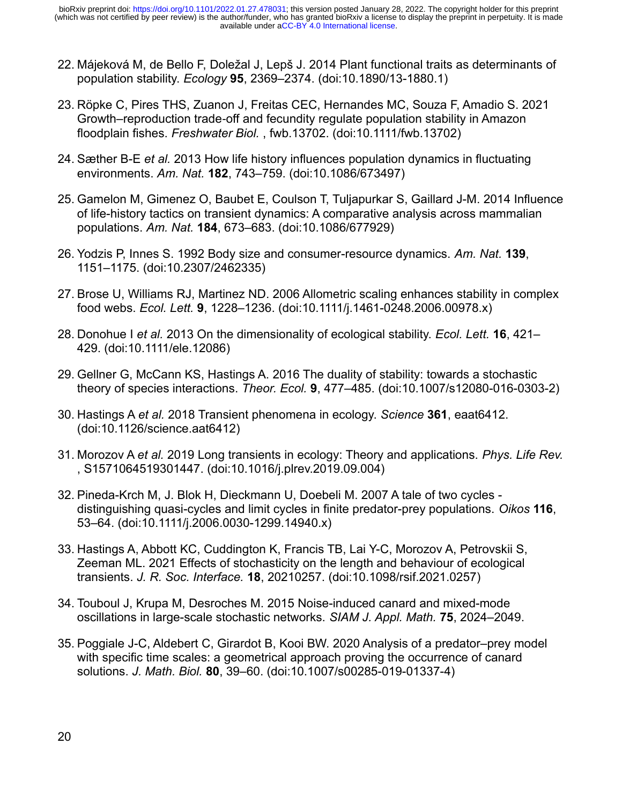- 22. Májeková M, de Bello F, Doležal J, Lepš J. 2014 Plant functional traits as determinants of population stability. *Ecology* **95**, 2369–2374. (doi:10.1890/13-1880.1)
- 23. Röpke C, Pires THS, Zuanon J, Freitas CEC, Hernandes MC, Souza F, Amadio S. 2021 Growth–reproduction trade-off and fecundity regulate population stability in Amazon floodplain fishes. *Freshwater Biol.* , fwb.13702. (doi:10.1111/fwb.13702)
- 24. Sæther B-E *et al.* 2013 How life history influences population dynamics in fluctuating environments. *Am. Nat.* **182**, 743–759. (doi:10.1086/673497)
- 25. Gamelon M, Gimenez O, Baubet E, Coulson T, Tuljapurkar S, Gaillard J-M. 2014 Influence of life-history tactics on transient dynamics: A comparative analysis across mammalian populations. *Am. Nat.* **184**, 673–683. (doi:10.1086/677929)
- 26. Yodzis P, Innes S. 1992 Body size and consumer-resource dynamics. *Am. Nat.* **139**, 1151–1175. (doi:10.2307/2462335)
- 27. Brose U, Williams RJ, Martinez ND. 2006 Allometric scaling enhances stability in complex food webs. *Ecol. Lett.* **9**, 1228–1236. (doi:10.1111/j.1461-0248.2006.00978.x)
- 28. Donohue I *et al.* 2013 On the dimensionality of ecological stability. *Ecol. Lett.* **16**, 421– 429. (doi:10.1111/ele.12086)
- 29. Gellner G, McCann KS, Hastings A. 2016 The duality of stability: towards a stochastic theory of species interactions. *Theor. Ecol.* **9**, 477–485. (doi:10.1007/s12080-016-0303-2)
- 30. Hastings A *et al.* 2018 Transient phenomena in ecology. *Science* **361**, eaat6412. (doi:10.1126/science.aat6412)
- 31. Morozov A *et al.* 2019 Long transients in ecology: Theory and applications. *Phys. Life Rev.* , S1571064519301447. (doi:10.1016/j.plrev.2019.09.004)
- 32. Pineda-Krch M, J. Blok H, Dieckmann U, Doebeli M. 2007 A tale of two cycles distinguishing quasi-cycles and limit cycles in finite predator-prey populations. *Oikos* **116**, 53–64. (doi:10.1111/j.2006.0030-1299.14940.x)
- 33. Hastings A, Abbott KC, Cuddington K, Francis TB, Lai Y-C, Morozov A, Petrovskii S, Zeeman ML. 2021 Effects of stochasticity on the length and behaviour of ecological transients. *J. R. Soc. Interface.* **18**, 20210257. (doi:10.1098/rsif.2021.0257)
- 34. Touboul J, Krupa M, Desroches M. 2015 Noise-induced canard and mixed-mode oscillations in large-scale stochastic networks. *SIAM J. Appl. Math.* **75**, 2024–2049.
- 35. Poggiale J-C, Aldebert C, Girardot B, Kooi BW. 2020 Analysis of a predator–prey model with specific time scales: a geometrical approach proving the occurrence of canard solutions. *J. Math. Biol.* **80**, 39–60. (doi:10.1007/s00285-019-01337-4)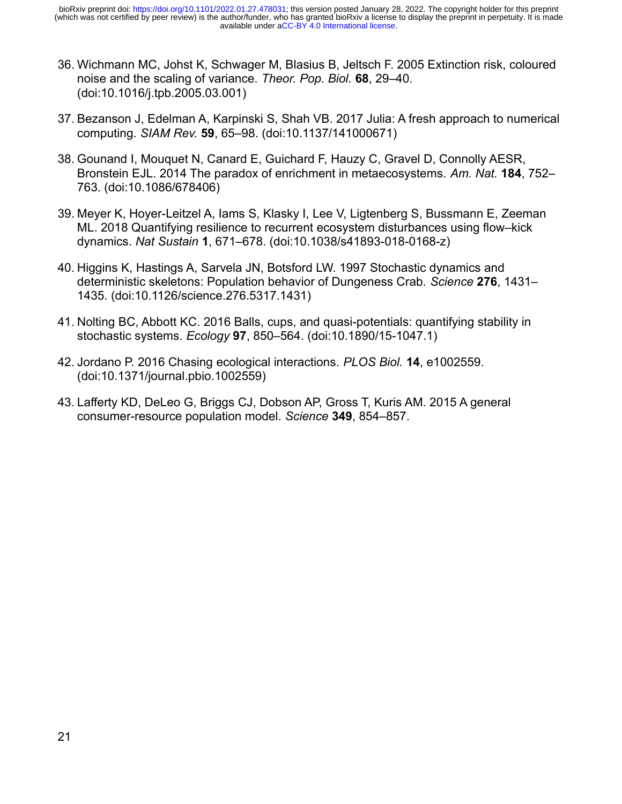- 36. Wichmann MC, Johst K, Schwager M, Blasius B, Jeltsch F. 2005 Extinction risk, coloured noise and the scaling of variance. *Theor. Pop. Biol.* **68**, 29–40. (doi:10.1016/j.tpb.2005.03.001)
- 37. Bezanson J, Edelman A, Karpinski S, Shah VB. 2017 Julia: A fresh approach to numerical computing. *SIAM Rev.* **59**, 65–98. (doi:10.1137/141000671)
- 38. Gounand I, Mouquet N, Canard E, Guichard F, Hauzy C, Gravel D, Connolly AESR, Bronstein EJL. 2014 The paradox of enrichment in metaecosystems. *Am. Nat.* **184**, 752– 763. (doi:10.1086/678406)
- 39. Meyer K, Hoyer-Leitzel A, Iams S, Klasky I, Lee V, Ligtenberg S, Bussmann E, Zeeman ML. 2018 Quantifying resilience to recurrent ecosystem disturbances using flow–kick dynamics. *Nat Sustain* **1**, 671–678. (doi:10.1038/s41893-018-0168-z)
- 40. Higgins K, Hastings A, Sarvela JN, Botsford LW. 1997 Stochastic dynamics and deterministic skeletons: Population behavior of Dungeness Crab. *Science* **276**, 1431– 1435. (doi:10.1126/science.276.5317.1431)
- 41. Nolting BC, Abbott KC. 2016 Balls, cups, and quasi-potentials: quantifying stability in stochastic systems. *Ecology* **97**, 850–564. (doi:10.1890/15-1047.1)
- 42. Jordano P. 2016 Chasing ecological interactions. *PLOS Biol.* **14**, e1002559. (doi:10.1371/journal.pbio.1002559)
- 43. Lafferty KD, DeLeo G, Briggs CJ, Dobson AP, Gross T, Kuris AM. 2015 A general consumer-resource population model. *Science* **349**, 854–857.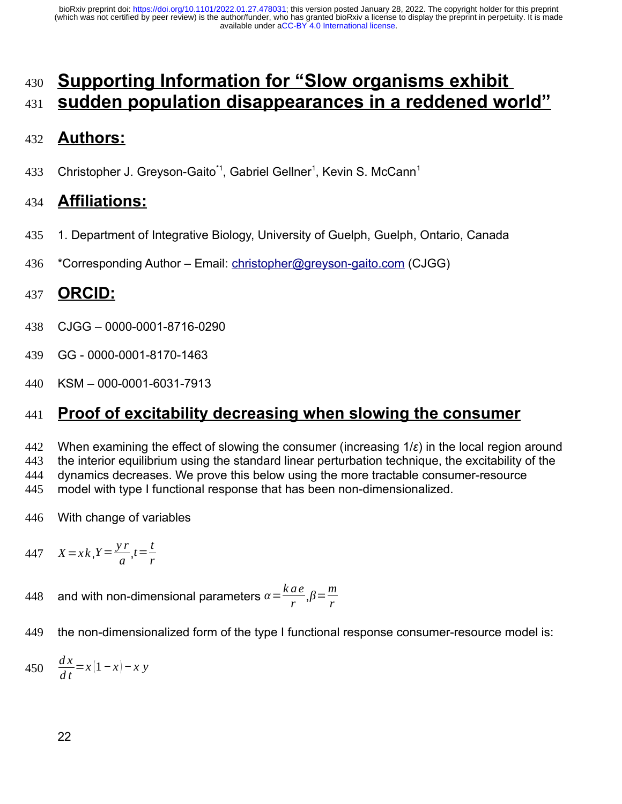# **Supporting Information for "Slow organisms exhibit sudden population disappearances in a reddened world"** 430 431

#### **Authors:** 432

Christopher J. Greyson-Gaito<sup>\*1</sup>, Gabriel Gellner<sup>1</sup>, Kevin S. McCann<sup>1</sup> 433

#### **Affiliations:** 434

- 1. Department of Integrative Biology, University of Guelph, Guelph, Ontario, Canada 435
- \*Corresponding Author Email: [christopher@greyson-gaito.com](mailto:christopher@greyson-gaito.com) (CJGG) 436

#### **ORCID:** 437

- CJGG 0000-0001-8716-0290 438
- GG 0000-0001-8170-1463 439
- KSM 000-0001-6031-7913 440

#### **Proof of excitability decreasing when slowing the consumer** 441

When examining the effect of slowing the consumer (increasing 1/*ε*) in the local region around the interior equilibrium using the standard linear perturbation technique, the excitability of the dynamics decreases. We prove this below using the more tractable consumer-resource model with type I functional response that has been non-dimensionalized. 442 443 444 445

- With change of variables 446
- $X = x k$ ,  $Y = \frac{y r}{z}$  $rac{r}{a}$ ,  $t = \frac{t}{r}$ 447  $X = x k, Y = \frac{y^2}{a}, t = \frac{c}{r}$
- and with non-dimensional parameters  $\alpha = \frac{k a e}{a}$  $\frac{ae}{r}$ , $\beta = \frac{m}{r}$ *r* 448
- the non-dimensionalized form of the type I functional response consumer-resource model is: 449

*d x* 450  $\frac{d^{2}x}{dt} = x(1-x) - xy$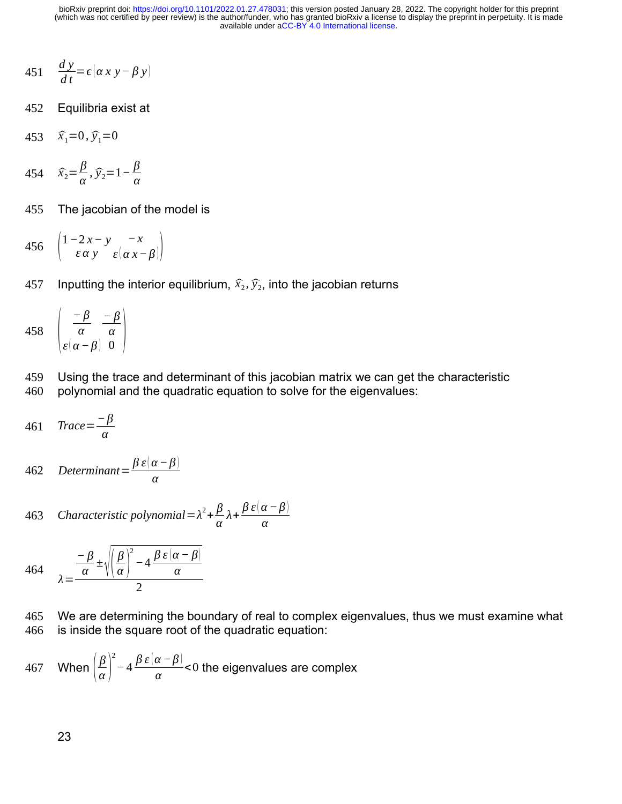- *d y*  $451 \frac{dy}{dt} = \epsilon (\alpha x y - \beta y)$
- Equilibria exist at 452
- 453  $\hat{x}_1=0, \hat{y}_1=0$
- $\hat{x}_2 = \frac{\beta}{\alpha}$  $\frac{\beta}{\alpha}$ ,  $\widehat{y}_2$ =1*−* $\frac{\beta}{\alpha}$ 454  $\hat{x}_2 = \frac{\mu}{\alpha}, \hat{y}_2 = 1 - \frac{\mu}{\alpha}$
- The jacobian of the model is 455
- $\vert$ 1*−*2 *x− y ε α y −x 456*  $\begin{pmatrix} 1 & 2\lambda & y \\ \epsilon \alpha y & \epsilon(\alpha x-\beta) \end{pmatrix}$
- Inputting the interior equilibrium,  $\widehat{x}_2$ ,  $\widehat{y}_2$ , into the jacobian returns 457

458 
$$
\begin{pmatrix} -\beta & -\beta \\ \alpha & \alpha \\ \varepsilon(\alpha-\beta) & 0 \end{pmatrix}
$$

Using the trace and determinant of this jacobian matrix we can get the characteristic polynomial and the quadratic equation to solve for the eigenvalues: 459 460

$$
461 \quad Trace = \frac{-\beta}{\alpha}
$$

462 Determinant 
$$
=
$$
  $\frac{\beta \varepsilon (\alpha - \beta)}{\alpha}$ 

463 Characteristic polynomial = 
$$
\lambda^2 + \frac{\beta}{\alpha} \lambda + \frac{\beta \varepsilon (\alpha - \beta)}{\alpha}
$$

464 
$$
\lambda = \frac{\frac{-\beta}{\alpha} \pm \sqrt{\left(\frac{\beta}{\alpha}\right)^2 - 4\frac{\beta \epsilon(\alpha - \beta)}{\alpha}}}{2}
$$

We are determining the boundary of real to complex eigenvalues, thus we must examine what is inside the square root of the quadratic equation: 465 466

467 When 
$$
\left(\frac{\beta}{\alpha}\right)^2 - 4\frac{\beta \varepsilon(\alpha - \beta)}{\alpha} < 0
$$
 the eigenvalues are complex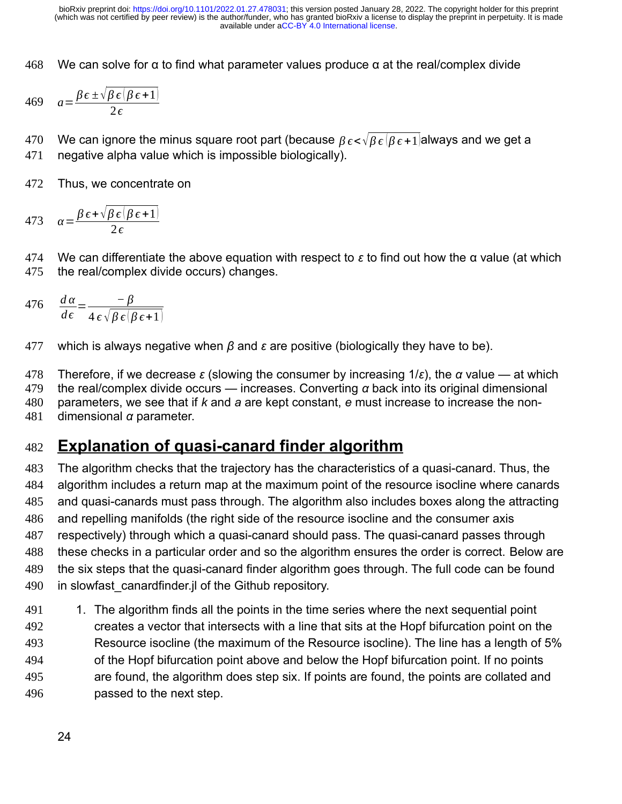We can solve for  $\alpha$  to find what parameter values produce  $\alpha$  at the real/complex divide 468

$$
469 \quad a = \frac{\beta \epsilon \pm \sqrt{\beta \epsilon (\beta \epsilon + 1)}}{2 \epsilon}
$$

We can ignore the minus square root part (because *β ϵ*<√*β ϵ* (*β ϵ* +1)always and we get a negative alpha value which is impossible biologically). 470 471

Thus, we concentrate on 472

473 
$$
\alpha = \frac{\beta \epsilon + \sqrt{\beta \epsilon (\beta \epsilon + 1)}}{2\epsilon}
$$

We can differentiate the above equation with respect to *ε* to find out how the α value (at which the real/complex divide occurs) changes. 474 475

476 
$$
\frac{d\alpha}{d\epsilon} = \frac{-\beta}{4\epsilon\sqrt{\beta\epsilon(\beta\epsilon+1)}}
$$

which is always negative when *β* and *ε* are positive (biologically they have to be). 477

Therefore, if we decrease *ε* (slowing the consumer by increasing 1/*ε*), the *α* value — at which the real/complex divide occurs — increases. Converting *α* back into its original dimensional parameters, we see that if *k* and *a* are kept constant, *e* must increase to increase the nondimensional *α* parameter. 478 479 480 481

#### **Explanation of quasi-canard finder algorithm** 482

The algorithm checks that the trajectory has the characteristics of a quasi-canard. Thus, the algorithm includes a return map at the maximum point of the resource isocline where canards and quasi-canards must pass through. The algorithm also includes boxes along the attracting and repelling manifolds (the right side of the resource isocline and the consumer axis respectively) through which a quasi-canard should pass. The quasi-canard passes through these checks in a particular order and so the algorithm ensures the order is correct. Below are the six steps that the quasi-canard finder algorithm goes through. The full code can be found in slowfast canardfinder.jl of the Github repository. 483 484 485 486 487 488 489 490

1. The algorithm finds all the points in the time series where the next sequential point creates a vector that intersects with a line that sits at the Hopf bifurcation point on the Resource isocline (the maximum of the Resource isocline). The line has a length of 5% of the Hopf bifurcation point above and below the Hopf bifurcation point. If no points are found, the algorithm does step six. If points are found, the points are collated and passed to the next step. 491 492 493 494 495 496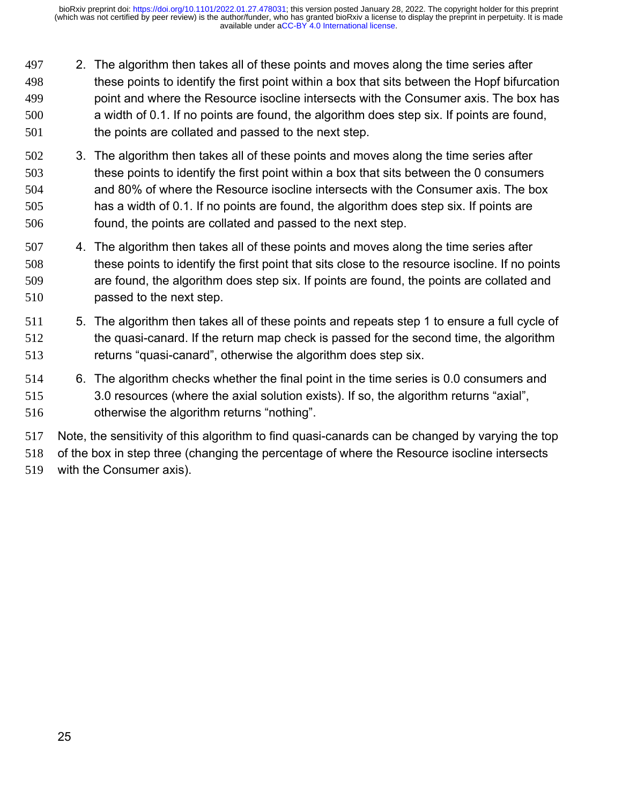- 2. The algorithm then takes all of these points and moves along the time series after these points to identify the first point within a box that sits between the Hopf bifurcation point and where the Resource isocline intersects with the Consumer axis. The box has a width of 0.1. If no points are found, the algorithm does step six. If points are found, the points are collated and passed to the next step. 497 498 499 500 501
- 3. The algorithm then takes all of these points and moves along the time series after these points to identify the first point within a box that sits between the 0 consumers and 80% of where the Resource isocline intersects with the Consumer axis. The box has a width of 0.1. If no points are found, the algorithm does step six. If points are found, the points are collated and passed to the next step. 502 503 504 505 506
- 4. The algorithm then takes all of these points and moves along the time series after these points to identify the first point that sits close to the resource isocline. If no points are found, the algorithm does step six. If points are found, the points are collated and passed to the next step. 507 508 509 510
- 5. The algorithm then takes all of these points and repeats step 1 to ensure a full cycle of the quasi-canard. If the return map check is passed for the second time, the algorithm returns "quasi-canard", otherwise the algorithm does step six. 511 512 513
- 6. The algorithm checks whether the final point in the time series is 0.0 consumers and 3.0 resources (where the axial solution exists). If so, the algorithm returns "axial", otherwise the algorithm returns "nothing". 514 515 516

Note, the sensitivity of this algorithm to find quasi-canards can be changed by varying the top of the box in step three (changing the percentage of where the Resource isocline intersects with the Consumer axis). 517 518 519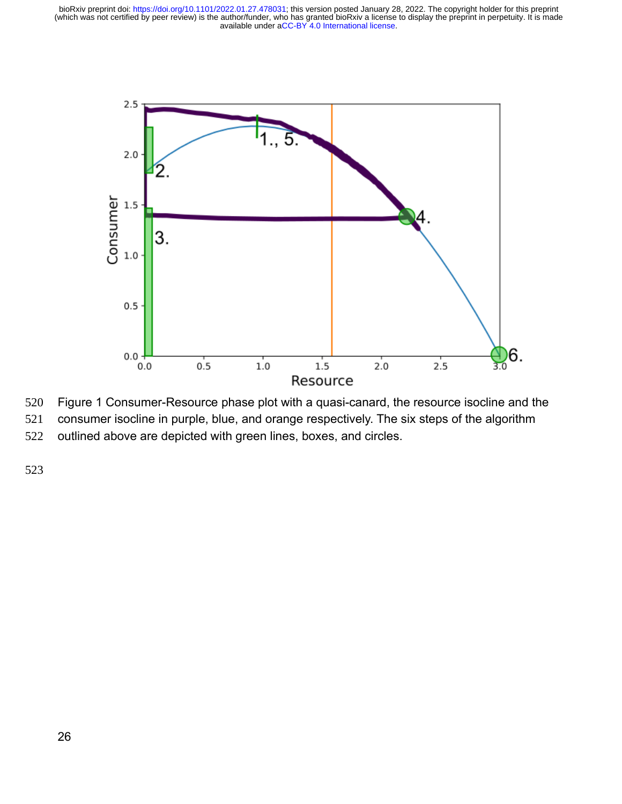

Figure 1 Consumer-Resource phase plot with a quasi-canard, the resource isocline and the 520

consumer isocline in purple, blue, and orange respectively. The six steps of the algorithm 521

outlined above are depicted with green lines, boxes, and circles. 522

523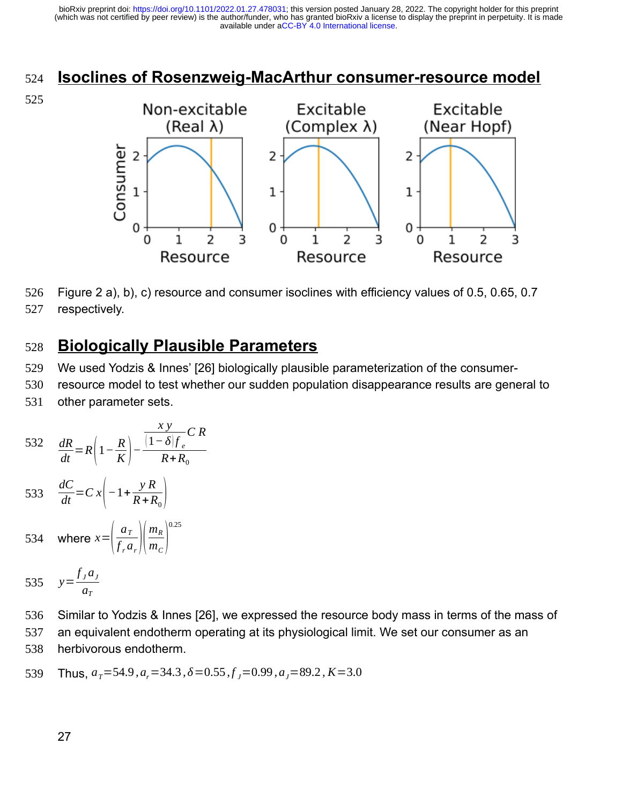# **Isoclines of Rosenzweig-MacArthur consumer-resource model** 524





Figure 2 a), b), c) resource and consumer isoclines with efficiency values of 0.5, 0.65, 0.7 respectively. 526 527

#### **Biologically Plausible Parameters** 528

We used Yodzis & Innes' [26] biologically plausible parameterization of the consumer-529

resource model to test whether our sudden population disappearance results are general to other parameter sets. 530 531

532 
$$
\frac{dR}{dt} = R\left(1 - \frac{R}{K}\right) - \frac{\frac{xy}{\left(1 - \delta\right) f_e} C R}{R + R_0}
$$
  
533 
$$
\frac{dC}{dt} = C x \left(-1 + \frac{y R}{R + R_0}\right)
$$

- where  $x=\left\lfloor \frac{1}{f} \right\rfloor$ *aT*  $\overline{f_r} \overline{a_r}$  $\sqrt{n}$ *m<sup>R</sup>*  $\overline{m}_C$ 0.25 534
- *y*=  $f_j a_j$ *aT* 535

Similar to Yodzis & Innes [26], we expressed the resource body mass in terms of the mass of an equivalent endotherm operating at its physiological limit. We set our consumer as an herbivorous endotherm. 536 537 538

 $\text{Thus, } a_{\textit{T}} = 54.9$  *,*  $a_{\textit{r}} = 34.3$  *,*  $\delta = 0.55$  *,*  $f_{\textit{J}} = 0.99$  *,*  $a_{\textit{J}} = 89.2$  *, K* = 3.0 539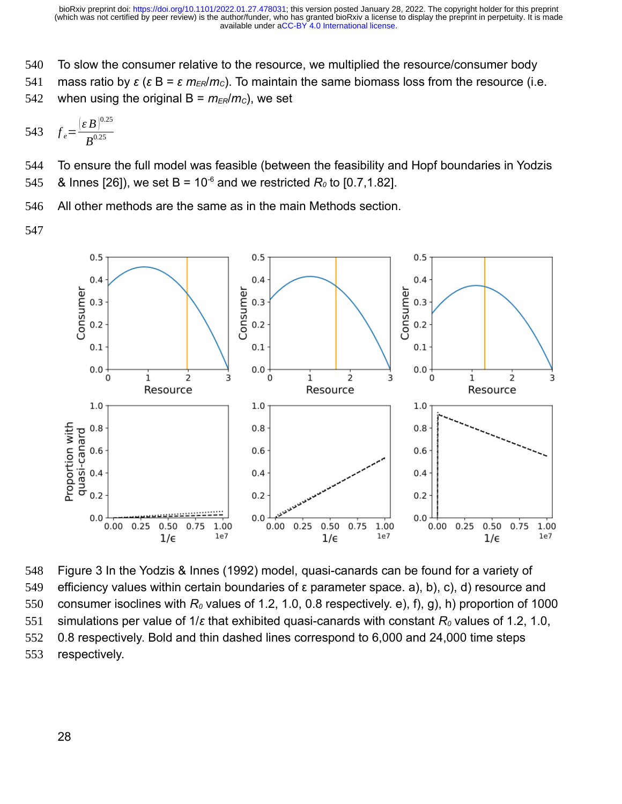- To slow the consumer relative to the resource, we multiplied the resource/consumer body 540
- mass ratio by *ε* (*ε* B = *ε m<sub>ER</sub>*/*m<sub>c</sub>*). To maintain the same biomass loss from the resource (i.e. 541
- when using the original  $B = m_{ER}/m_c$ , we set 542

543 
$$
f_e = \frac{(\varepsilon B)^{0.25}}{B^{0.25}}
$$

To ensure the full model was feasible (between the feasibility and Hopf boundaries in Yodzis & Innes [26]), we set B =  $10^{-6}$  and we restricted  $R_0$  to [0.7,1.82]. 544 545

- All other methods are the same as in the main Methods section. 546
- 547



Figure 3 In the Yodzis & Innes (1992) model, quasi-canards can be found for a variety of efficiency values within certain boundaries of ε parameter space. a), b), c), d) resource and consumer isoclines with *R0* values of 1.2, 1.0, 0.8 respectively. e), f), g), h) proportion of 1000 simulations per value of 1/*ε* that exhibited quasi-canards with constant *R0* values of 1.2, 1.0, 0.8 respectively. Bold and thin dashed lines correspond to 6,000 and 24,000 time steps respectively. 548 549 550 551 552 553